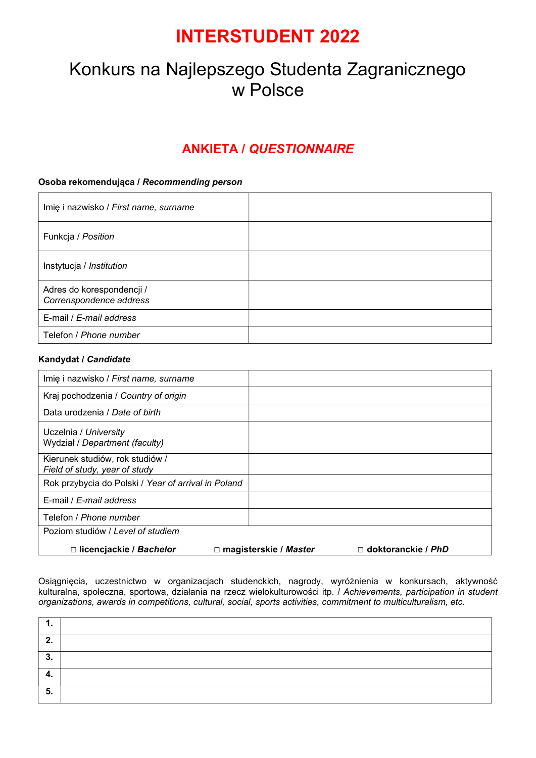## INTERSTUDENT 2022

# Konkurs na Najlepszego Studenta Zagranicznego w Polsce

### ANKIETA / QUESTIONNAIRE

### Osoba rekomendująca / Recommending person

| Imię i nazwisko / First name, surname                |  |
|------------------------------------------------------|--|
| Funkcja / Position                                   |  |
| Instytucja / Institution                             |  |
| Adres do korespondencji /<br>Correnspondence address |  |
| E-mail / E-mail address                              |  |
| Telefon / Phone number                               |  |

#### Kandydat / Candidate

| Imię i nazwisko / First name, surname                            |                              |                           |
|------------------------------------------------------------------|------------------------------|---------------------------|
| Kraj pochodzenia / Country of origin                             |                              |                           |
| Data urodzenia / Date of birth                                   |                              |                           |
| Uczelnia / University<br>Wydział / Department (faculty)          |                              |                           |
| Kierunek studiów, rok studiów /<br>Field of study, year of study |                              |                           |
| Rok przybycia do Polski / Year of arrival in Poland              |                              |                           |
| E-mail / E-mail address                                          |                              |                           |
| Telefon / <i>Phone number</i>                                    |                              |                           |
| Poziom studiów / Level of studiem                                |                              |                           |
| □ licencjackie / Bachelor                                        | $\Box$ magisterskie / Master | $\Box$ doktoranckie / PhD |

Osiągnięcia, uczestnictwo w organizacjach studenckich, nagrody, wyróżnienia w konkursach, aktywność kulturalna, społeczna, sportowa, działania na rzecz wielokulturowości itp. / Achievements, participation in student organizations, awards in competitions, cultural, social, sports activities, commitment to multiculturalism, etc.

| ◠<br>. .  |  |
|-----------|--|
| ^<br>. v. |  |
|           |  |
| 5.        |  |